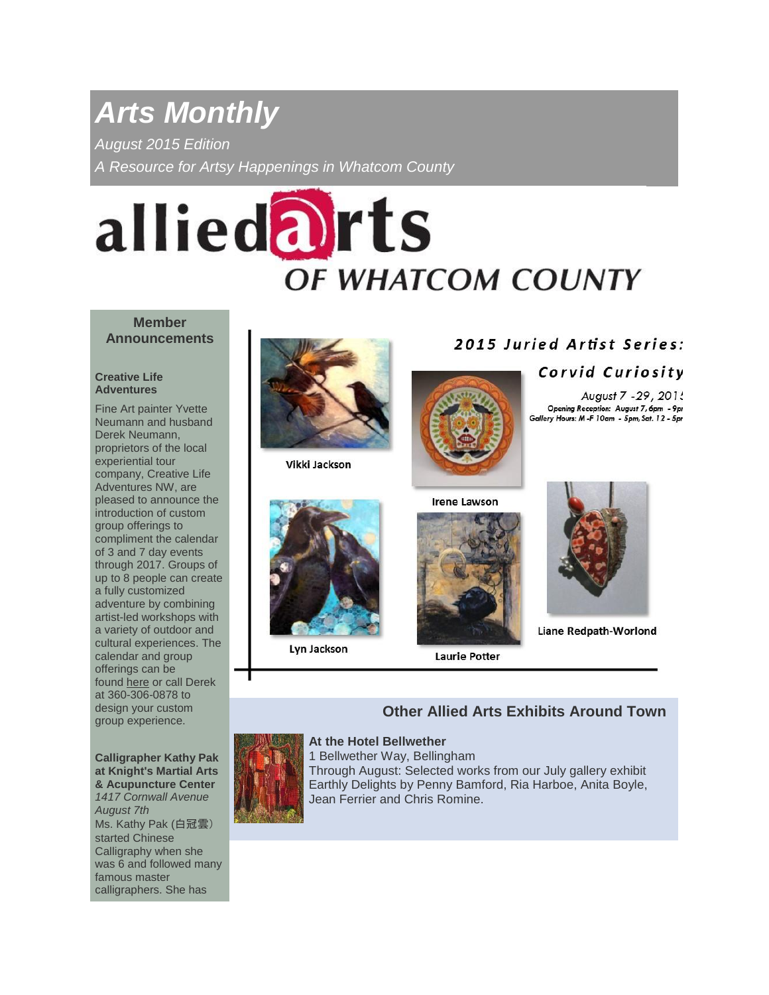# *Arts Monthly*

*August 2015 Edition*

*A Resource for Artsy Happenings in Whatcom County*

# alliedarts **OF WHATCOM COUNTY**

### **Member Announcements**

#### **Creative Life Adventures**

Fine Art painter Yvette Neumann and husband Derek Neumann, proprietors of the local experiential tour company, Creative Life Adventures NW, are pleased to announce the introduction of custom group offerings to compliment the calendar of 3 and 7 day events through 2017. Groups of up to 8 people can create a fully customized adventure by combining artist-led workshops with a variety of outdoor and cultural experiences. The calendar and group offerings can be found [here](http://www.creativelifeadventuresnw.com/custom-group-adventures) or call Derek at 360-306-0878 to design your custom group experience.

**Calligrapher Kathy Pak at Knight's Martial Arts & Acupuncture Center** *1417 Cornwall Avenue August 7th* Ms. Kathy Pak (白冠雲) started Chinese Calligraphy when she was 6 and followed many famous master calligraphers. She has



Vikki Jackson



Lyn Jackson

# 2015 Juried Artist Series:

# Corvid Curiosity

August 7 - 29, 2015 Opening Reception: August 7, 6pm - 9pr Gallery Hours: M -F 10am - 5pm, Sat. 12 - 5pr



**Laurie Potter** 



Liane Redpath-Worlond

# **Other Allied Arts Exhibits Around Town**



1 Bellwether Way, Bellingham Through August: Selected works from our July gallery exhibit Earthly Delights by Penny Bamford, Ria Harboe, Anita Boyle, Jean Ferrier and Chris Romine.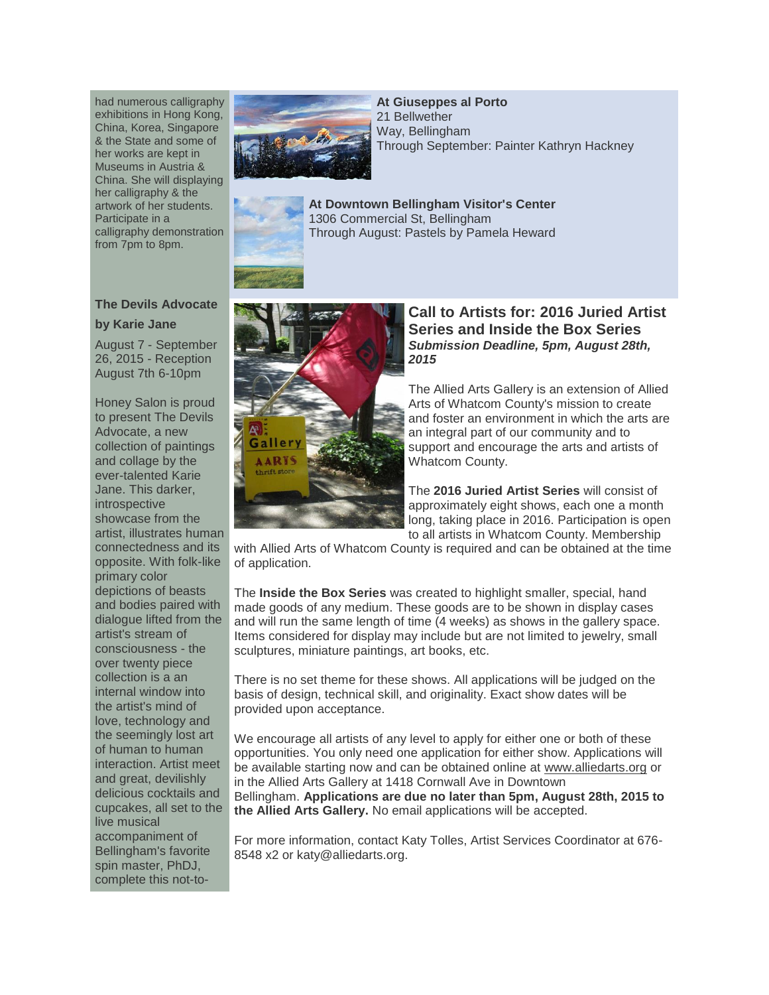had numerous calligraphy exhibitions in Hong Kong, China, Korea, Singapore & the State and some of her works are kept in Museums in Austria & China. She will displaying her calligraphy & the artwork of her students. Participate in a calligraphy demonstration from 7pm to 8pm.



**At Giuseppes al Porto** 21 Bellwether Way, Bellingham Through September: Painter Kathryn Hackney

**At Downtown Bellingham Visitor's Center** 1306 Commercial St, Bellingham Through August: Pastels by Pamela Heward

# **The Devils Advocate**

#### **by Karie Jane**

August 7 - September 26, 2015 - Reception August 7th 6-10pm

Honey Salon is proud to present The Devils Advocate, a new collection of paintings and collage by the ever-talented Karie Jane. This darker, introspective showcase from the artist, illustrates human connectedness and its opposite. With folk-like primary color depictions of beasts and bodies paired with dialogue lifted from the artist's stream of consciousness - the over twenty piece collection is a an internal window into the artist's mind of love, technology and the seemingly lost art of human to human interaction. Artist meet and great, devilishly delicious cocktails and cupcakes, all set to the live musical accompaniment of Bellingham's favorite spin master, PhDJ, complete this not-to-



## **Call to Artists for: 2016 Juried Artist Series and Inside the Box Series** *Submission Deadline, 5pm, August 28th, 2015*

The Allied Arts Gallery is an extension of Allied Arts of Whatcom County's mission to create and foster an environment in which the arts are an integral part of our community and to support and encourage the arts and artists of Whatcom County.

The **2016 Juried Artist Series** will consist of approximately eight shows, each one a month long, taking place in 2016. Participation is open to all artists in Whatcom County. Membership

with Allied Arts of Whatcom County is required and can be obtained at the time of application.

The **Inside the Box Series** was created to highlight smaller, special, hand made goods of any medium. These goods are to be shown in display cases and will run the same length of time (4 weeks) as shows in the gallery space. Items considered for display may include but are not limited to jewelry, small sculptures, miniature paintings, art books, etc.

There is no set theme for these shows. All applications will be judged on the basis of design, technical skill, and originality. Exact show dates will be provided upon acceptance.

We encourage all artists of any level to apply for either one or both of these opportunities. You only need one application for either show. Applications will be available starting now and can be obtained online at [www.alliedarts.org](http://www.alliedarts.org/call-to-artists/) or in the Allied Arts Gallery at 1418 Cornwall Ave in Downtown Bellingham. **Applications are due no later than 5pm, August 28th, 2015 to the Allied Arts Gallery.** No email applications will be accepted.

For more information, contact Katy Tolles, Artist Services Coordinator at 676- 8548 x2 or katy@alliedarts.org.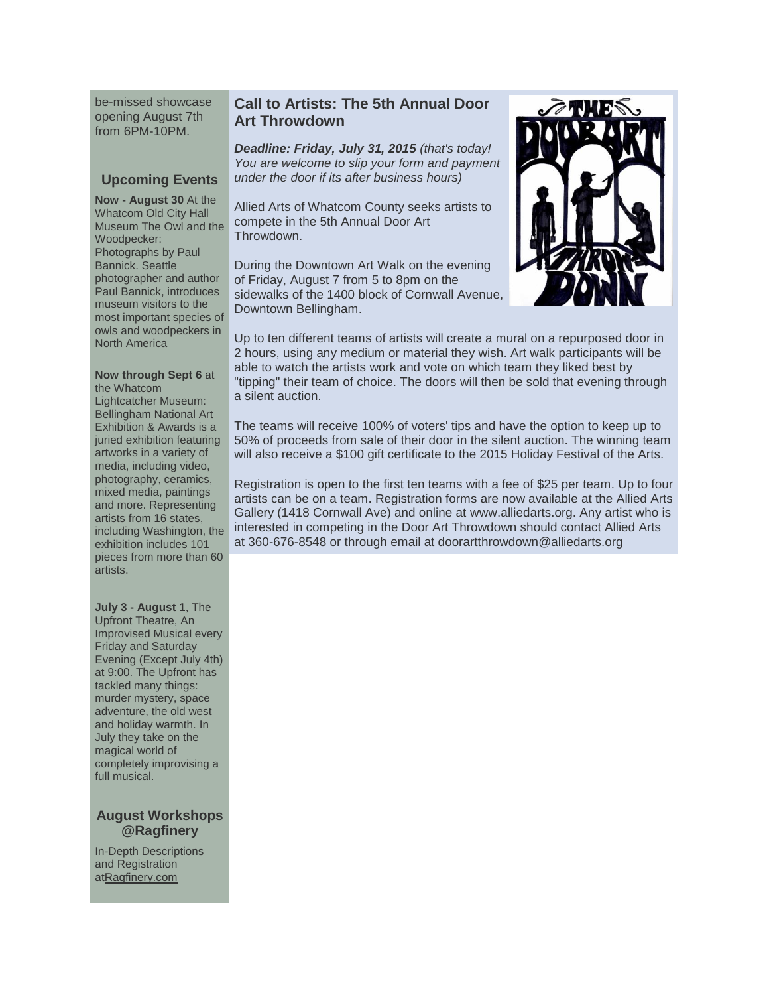be-missed showcase opening August 7th from 6PM-10PM.

# **Upcoming Events**

**Now - August 30** At the Whatcom Old City Hall Museum The Owl and the Woodpecker: Photographs by Paul Bannick. Seattle photographer and author Paul Bannick, introduces museum visitors to the most important species of owls and woodpeckers in North America

#### **Now through Sept 6** at the Whatcom

Lightcatcher Museum: Bellingham National Art Exhibition & Awards is a juried exhibition featuring artworks in a variety of media, including video, photography, ceramics, mixed media, paintings and more. Representing artists from 16 states, including Washington, the exhibition includes 101 pieces from more than 60 artists.

**July 3 - August 1**, The Upfront Theatre, An Improvised Musical every Friday and Saturday Evening (Except July 4th) at 9:00. The Upfront has tackled many things: murder mystery, space adventure, the old west and holiday warmth. In July they take on the magical world of completely improvising a full musical.

# **August Workshops @Ragfinery**

In-Depth Descriptions and Registration a[tRagfinery.com](http://ragfinery.com/)

# **Call to Artists: The 5th Annual Door Art Throwdown**

*Deadline: Friday, July 31, 2015 (that's today! You are welcome to slip your form and payment under the door if its after business hours)*

Allied Arts of Whatcom County seeks artists to compete in the 5th Annual Door Art Throwdown.

During the Downtown Art Walk on the evening of Friday, August 7 from 5 to 8pm on the sidewalks of the 1400 block of Cornwall Avenue, Downtown Bellingham.



Up to ten different teams of artists will create a mural on a repurposed door in 2 hours, using any medium or material they wish. Art walk participants will be able to watch the artists work and vote on which team they liked best by "tipping" their team of choice. The doors will then be sold that evening through a silent auction.

The teams will receive 100% of voters' tips and have the option to keep up to 50% of proceeds from sale of their door in the silent auction. The winning team will also receive a \$100 gift certificate to the 2015 Holiday Festival of the Arts.

Registration is open to the first ten teams with a fee of \$25 per team. Up to four artists can be on a team. Registration forms are now available at the Allied Arts Gallery (1418 Cornwall Ave) and online at [www.alliedarts.org.](http://www.alliedarts.org/3rd-annual-door-art-throwdown/) Any artist who is interested in competing in the Door Art Throwdown should contact Allied Arts at 360-676-8548 or through email at doorartthrowdown@alliedarts.org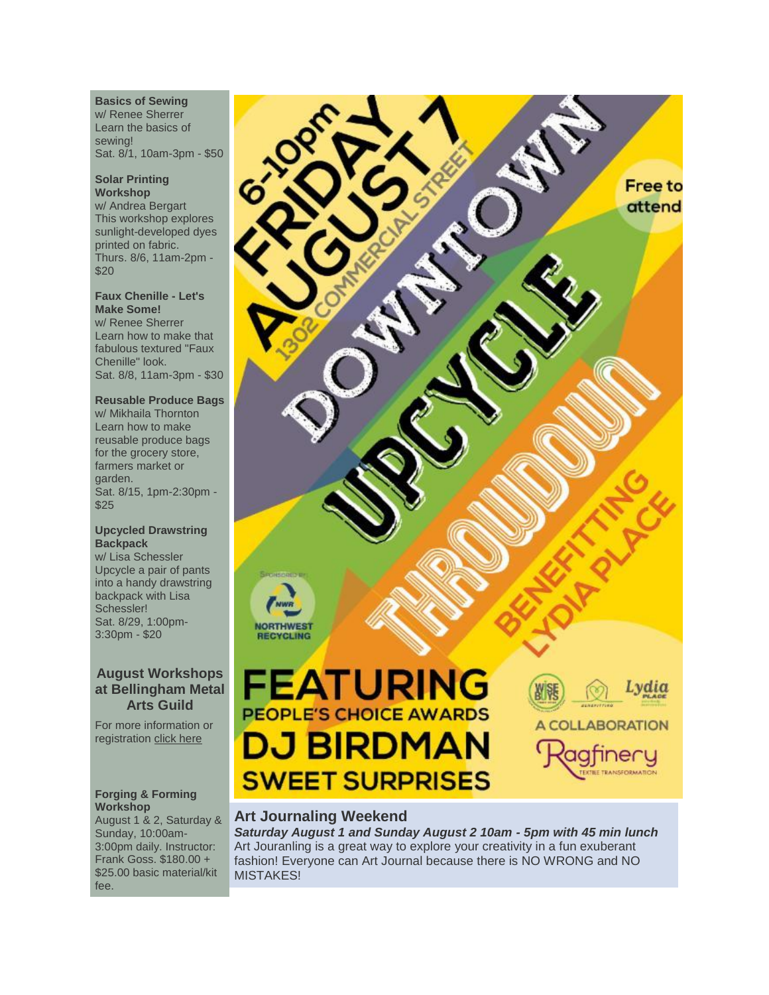**Basics of Sewing**

w/ Renee Sherrer Learn the basics of sewing! Sat. 8/1, 10am-3pm - \$50

#### **Solar Printing Workshop**

w/ Andrea Bergart This workshop explores sunlight-developed dyes printed on fabric. Thurs. 8/6, 11am-2pm - \$20

#### **Faux Chenille - Let's Make Some!**

w/ Renee Sherrer Learn how to make that fabulous textured "Faux Chenille" look. Sat. 8/8, 11am-3pm - \$30

# **Reusable Produce Bags**

w/ Mikhaila Thornton Learn how to make reusable produce bags for the grocery store, farmers market or garden. Sat. 8/15, 1pm-2:30pm - \$25

#### **Upcycled Drawstring Backpack**

w/ Lisa Schessler Upcycle a pair of pants into a handy drawstring backpack with Lisa Schessler! Sat. 8/29, 1:00pm-3:30pm - \$20

# **August Workshops at Bellingham Metal Arts Guild**

For more information or registration [click here](http://www.bellinghammetalartsguild.org/)

#### **Forging & Forming Workshop**

August 1 & 2, Saturday & Sunday, 10:00am-3:00pm daily. Instructor: Frank Goss. \$180.00 + \$25.00 basic material/kit fee.



# **Art Journaling Weekend**

*Saturday August 1 and Sunday August 2 10am - 5pm with 45 min lunch* Art Jouranling is a great way to explore your creativity in a fun exuberant fashion! Everyone can Art Journal because there is NO WRONG and NO MISTAKES!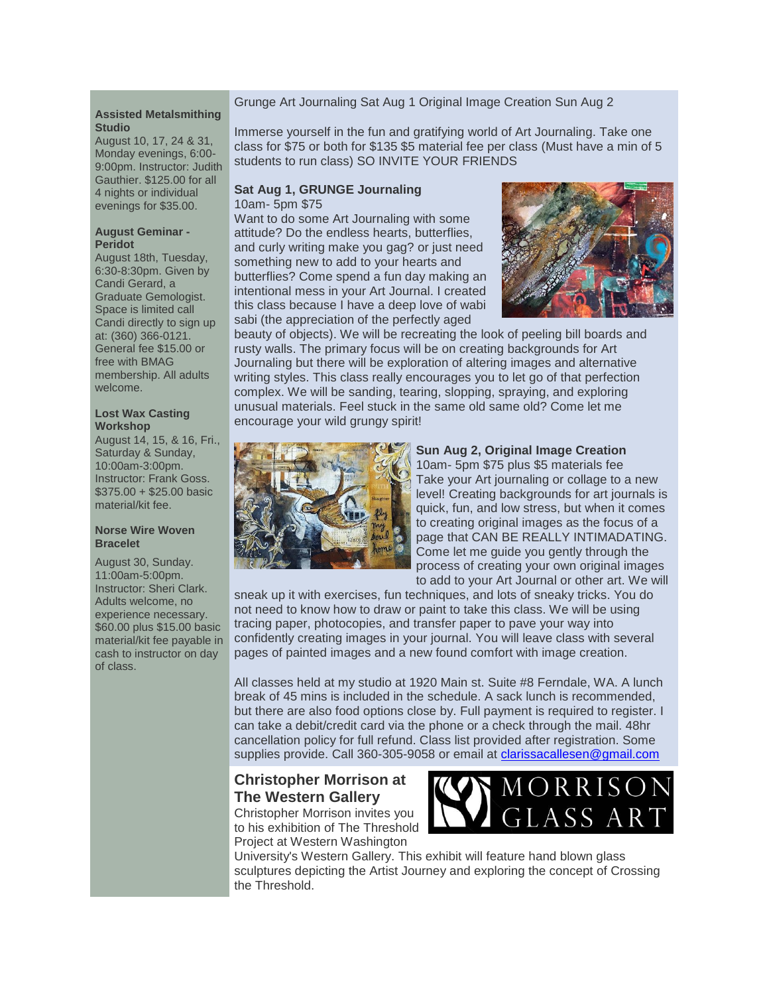#### Grunge Art Journaling Sat Aug 1 Original Image Creation Sun Aug 2

#### **Assisted Metalsmithing Studio**

August 10, 17, 24 & 31, Monday evenings, 6:00- 9:00pm. Instructor: Judith Gauthier. \$125.00 for all 4 nights or individual evenings for \$35.00.

#### **August Geminar - Peridot**

August 18th, Tuesday, 6:30-8:30pm. Given by Candi Gerard, a Graduate Gemologist. Space is limited call Candi directly to sign up at: (360) 366-0121. General fee \$15.00 or free with BMAG membership. All adults welcome.

#### **Lost Wax Casting Workshop**

August 14, 15, & 16, Fri., Saturday & Sunday, 10:00am-3:00pm. Instructor: Frank Goss. \$375.00 + \$25.00 basic material/kit fee.

#### **Norse Wire Woven Bracelet**

August 30, Sunday. 11:00am-5:00pm. Instructor: Sheri Clark. Adults welcome, no experience necessary. \$60.00 plus \$15.00 basic material/kit fee payable in cash to instructor on day of class.

Immerse yourself in the fun and gratifying world of Art Journaling. Take one class for \$75 or both for \$135 \$5 material fee per class (Must have a min of 5 students to run class) SO INVITE YOUR FRIENDS

#### **Sat Aug 1, GRUNGE Journaling** 10am- 5pm \$75

Want to do some Art Journaling with some attitude? Do the endless hearts, butterflies, and curly writing make you gag? or just need something new to add to your hearts and butterflies? Come spend a fun day making an intentional mess in your Art Journal. I created this class because I have a deep love of wabi sabi (the appreciation of the perfectly aged



beauty of objects). We will be recreating the look of peeling bill boards and rusty walls. The primary focus will be on creating backgrounds for Art Journaling but there will be exploration of altering images and alternative writing styles. This class really encourages you to let go of that perfection complex. We will be sanding, tearing, slopping, spraying, and exploring unusual materials. Feel stuck in the same old same old? Come let me encourage your wild grungy spirit!



# **Sun Aug 2, Original Image Creation**

10am- 5pm \$75 plus \$5 materials fee Take your Art journaling or collage to a new level! Creating backgrounds for art journals is quick, fun, and low stress, but when it comes to creating original images as the focus of a page that CAN BE REALLY INTIMADATING. Come let me guide you gently through the process of creating your own original images to add to your Art Journal or other art. We will

sneak up it with exercises, fun techniques, and lots of sneaky tricks. You do not need to know how to draw or paint to take this class. We will be using tracing paper, photocopies, and transfer paper to pave your way into confidently creating images in your journal. You will leave class with several pages of painted images and a new found comfort with image creation.

All classes held at my studio at 1920 Main st. Suite #8 Ferndale, WA. A lunch break of 45 mins is included in the schedule. A sack lunch is recommended, but there are also food options close by. Full payment is required to register. I can take a debit/credit card via the phone or a check through the mail. 48hr cancellation policy for full refund. Class list provided after registration. Some supplies provide. Call 360-305-9058 or email at [clarissacallesen@gmail.com](http://clarissacallesen@gmail.com/)

# **Christopher Morrison at The Western Gallery**

Christopher Morrison invites you to his exhibition of The Threshold Project at Western Washington



University's Western Gallery. This exhibit will feature hand blown glass sculptures depicting the Artist Journey and exploring the concept of Crossing the Threshold.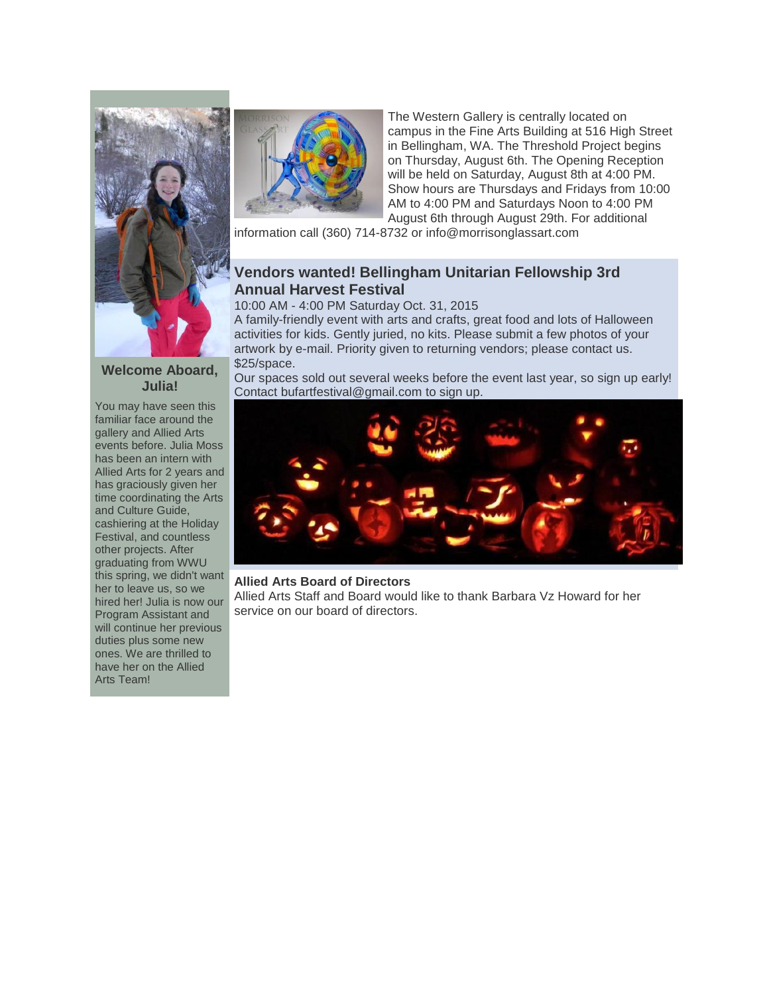



The Western Gallery is centrally located on campus in the Fine Arts Building at 516 High Street in Bellingham, WA. The Threshold Project begins on Thursday, August 6th. The Opening Reception will be held on Saturday, August 8th at 4:00 PM. Show hours are Thursdays and Fridays from 10:00 AM to 4:00 PM and Saturdays Noon to 4:00 PM August 6th through August 29th. For additional

information call (360) 714-8732 or info@morrisonglassart.com

# **Vendors wanted! Bellingham Unitarian Fellowship 3rd Annual Harvest Festival**

10:00 AM - 4:00 PM Saturday Oct. 31, 2015

A family-friendly event with arts and crafts, great food and lots of Halloween activities for kids. Gently juried, no kits. Please submit a few photos of your artwork by e-mail. Priority given to returning vendors; please contact us. \$25/space.

Our spaces sold out several weeks before the event last year, so sign up early! Contact bufartfestival@gmail.com to sign up.



#### **Allied Arts Board of Directors**

Allied Arts Staff and Board would like to thank Barbara Vz Howard for her service on our board of directors.

#### **Welcome Aboard, Julia!**

You may have seen this familiar face around the gallery and Allied Arts events before. Julia Moss has been an intern with Allied Arts for 2 years and has graciously given her time coordinating the Arts and Culture Guide, cashiering at the Holiday Festival, and countless other projects. After graduating from WWU this spring, we didn't want her to leave us, so we hired her! Julia is now our Program Assistant and will continue her previous duties plus some new ones. We are thrilled to have her on the Allied Arts Team!